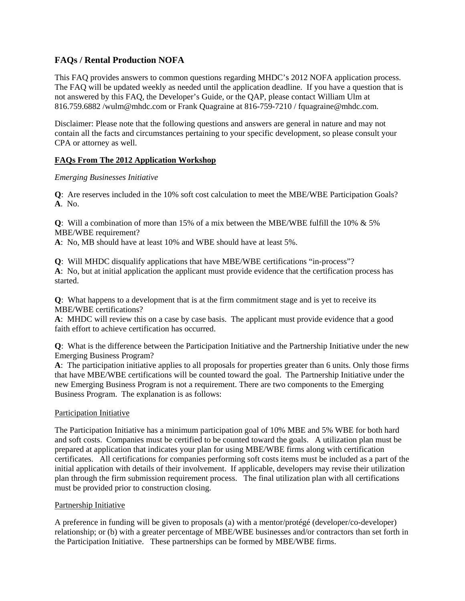# **FAQs / Rental Production NOFA**

This FAQ provides answers to common questions regarding MHDC's 2012 NOFA application process. The FAQ will be updated weekly as needed until the application deadline. If you have a question that is not answered by this FAQ, the Developer's Guide, or the QAP, please contact William Ulm at 816.759.6882 /wulm@mhdc.com or Frank Quagraine at 816-759-7210 / fquagraine@mhdc.com.

Disclaimer: Please note that the following questions and answers are general in nature and may not contain all the facts and circumstances pertaining to your specific development, so please consult your CPA or attorney as well.

## **FAQs From The 2012 Application Workshop**

## *Emerging Businesses Initiative*

**Q**: Are reserves included in the 10% soft cost calculation to meet the MBE/WBE Participation Goals? **A**. No.

**Q**: Will a combination of more than 15% of a mix between the MBE/WBE fulfill the 10% & 5% MBE/WBE requirement?

**A**: No, MB should have at least 10% and WBE should have at least 5%.

**Q**: Will MHDC disqualify applications that have MBE/WBE certifications "in-process"? **A**: No, but at initial application the applicant must provide evidence that the certification process has started.

**Q**: What happens to a development that is at the firm commitment stage and is yet to receive its MBE/WBE certifications?

**A**: MHDC will review this on a case by case basis. The applicant must provide evidence that a good faith effort to achieve certification has occurred.

**Q**: What is the difference between the Participation Initiative and the Partnership Initiative under the new Emerging Business Program?

**A**: The participation initiative applies to all proposals for properties greater than 6 units. Only those firms that have MBE/WBE certifications will be counted toward the goal. The Partnership Initiative under the new Emerging Business Program is not a requirement. There are two components to the Emerging Business Program. The explanation is as follows:

## Participation Initiative

The Participation Initiative has a minimum participation goal of 10% MBE and 5% WBE for both hard and soft costs. Companies must be certified to be counted toward the goals. A utilization plan must be prepared at application that indicates your plan for using MBE/WBE firms along with certification certificates. All certifications for companies performing soft costs items must be included as a part of the initial application with details of their involvement. If applicable, developers may revise their utilization plan through the firm submission requirement process. The final utilization plan with all certifications must be provided prior to construction closing.

## Partnership Initiative

A preference in funding will be given to proposals (a) with a mentor/protégé (developer/co-developer) relationship; or (b) with a greater percentage of MBE/WBE businesses and/or contractors than set forth in the Participation Initiative. These partnerships can be formed by MBE/WBE firms.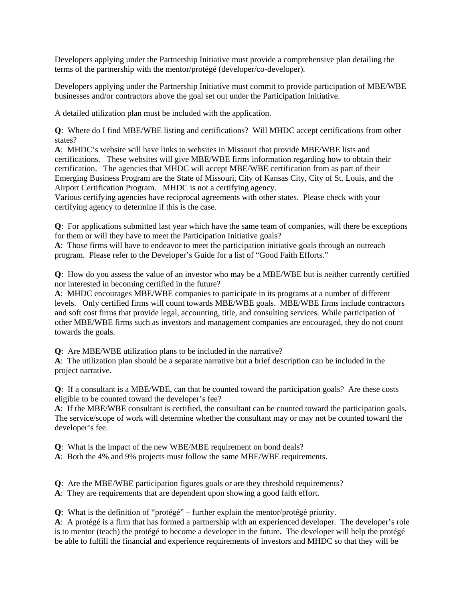Developers applying under the Partnership Initiative must provide a comprehensive plan detailing the terms of the partnership with the mentor/protégé (developer/co-developer).

Developers applying under the Partnership Initiative must commit to provide participation of MBE/WBE businesses and/or contractors above the goal set out under the Participation Initiative.

A detailed utilization plan must be included with the application.

**Q**: Where do I find MBE/WBE listing and certifications? Will MHDC accept certifications from other states?

**A**: MHDC's website will have links to websites in Missouri that provide MBE/WBE lists and certifications. These websites will give MBE/WBE firms information regarding how to obtain their certification. The agencies that MHDC will accept MBE/WBE certification from as part of their Emerging Business Program are the State of Missouri, City of Kansas City, City of St. Louis, and the Airport Certification Program. MHDC is not a certifying agency.

Various certifying agencies have reciprocal agreements with other states. Please check with your certifying agency to determine if this is the case.

**Q**: For applications submitted last year which have the same team of companies, will there be exceptions for them or will they have to meet the Participation Initiative goals?

**A**: Those firms will have to endeavor to meet the participation initiative goals through an outreach program. Please refer to the Developer's Guide for a list of "Good Faith Efforts."

**Q**: How do you assess the value of an investor who may be a MBE/WBE but is neither currently certified nor interested in becoming certified in the future?

**A**: MHDC encourages MBE/WBE companies to participate in its programs at a number of different levels. Only certified firms will count towards MBE/WBE goals. MBE/WBE firms include contractors and soft cost firms that provide legal, accounting, title, and consulting services. While participation of other MBE/WBE firms such as investors and management companies are encouraged, they do not count towards the goals.

**Q**: Are MBE/WBE utilization plans to be included in the narrative?

**A**: The utilization plan should be a separate narrative but a brief description can be included in the project narrative.

**Q**: If a consultant is a MBE/WBE, can that be counted toward the participation goals? Are these costs eligible to be counted toward the developer's fee?

**A**: If the MBE/WBE consultant is certified, the consultant can be counted toward the participation goals. The service/scope of work will determine whether the consultant may or may not be counted toward the developer's fee.

**Q**: What is the impact of the new WBE/MBE requirement on bond deals?

**A**: Both the 4% and 9% projects must follow the same MBE/WBE requirements.

**Q**: Are the MBE/WBE participation figures goals or are they threshold requirements?

**A**: They are requirements that are dependent upon showing a good faith effort.

**Q**: What is the definition of "protégé" – further explain the mentor/protégé priority.

**A**: A protégé is a firm that has formed a partnership with an experienced developer. The developer's role is to mentor (teach) the protégé to become a developer in the future. The developer will help the protégé be able to fulfill the financial and experience requirements of investors and MHDC so that they will be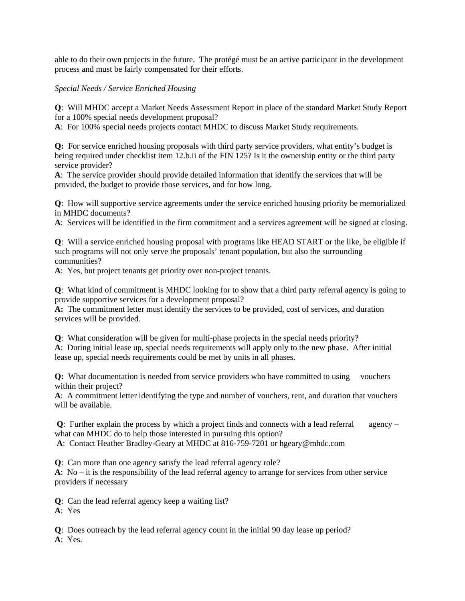able to do their own projects in the future. The protégé must be an active participant in the development process and must be fairly compensated for their efforts.

## *Special Needs / Service Enriched Housing*

**Q**: Will MHDC accept a Market Needs Assessment Report in place of the standard Market Study Report for a 100% special needs development proposal?

**A**: For 100% special needs projects contact MHDC to discuss Market Study requirements.

**Q:** For service enriched housing proposals with third party service providers, what entity's budget is being required under checklist item 12.b.ii of the FIN 125? Is it the ownership entity or the third party service provider?

**A**: The service provider should provide detailed information that identify the services that will be provided, the budget to provide those services, and for how long.

**Q**: How will supportive service agreements under the service enriched housing priority be memorialized in MHDC documents?

**A**: Services will be identified in the firm commitment and a services agreement will be signed at closing.

**Q**: Will a service enriched housing proposal with programs like HEAD START or the like, be eligible if such programs will not only serve the proposals' tenant population, but also the surrounding communities?

**A**: Yes, but project tenants get priority over non-project tenants.

**Q**: What kind of commitment is MHDC looking for to show that a third party referral agency is going to provide supportive services for a development proposal?

**A:** The commitment letter must identify the services to be provided, cost of services, and duration services will be provided.

**Q**: What consideration will be given for multi-phase projects in the special needs priority?

**A**: During initial lease up, special needs requirements will apply only to the new phase. After initial lease up, special needs requirements could be met by units in all phases.

**Q:** What documentation is needed from service providers who have committed to using vouchers within their project?

**A**: A commitment letter identifying the type and number of vouchers, rent, and duration that vouchers will be available.

**Q**: Further explain the process by which a project finds and connects with a lead referral agency – what can MHDC do to help those interested in pursuing this option?

**A**: Contact Heather Bradley-Geary at MHDC at 816-759-7201 or hgeary@mhdc.com

**Q**: Can more than one agency satisfy the lead referral agency role?

**A**: No – it is the responsibility of the lead referral agency to arrange for services from other service providers if necessary

**Q**: Can the lead referral agency keep a waiting list?

**A**: Yes

**Q**: Does outreach by the lead referral agency count in the initial 90 day lease up period? **A**: Yes.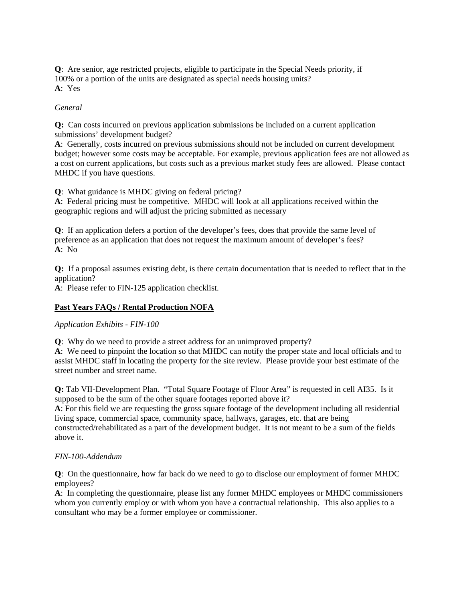**Q**: Are senior, age restricted projects, eligible to participate in the Special Needs priority, if 100% or a portion of the units are designated as special needs housing units? **A**: Yes

## *General*

**Q:** Can costs incurred on previous application submissions be included on a current application submissions' development budget?

**A**: Generally, costs incurred on previous submissions should not be included on current development budget; however some costs may be acceptable. For example, previous application fees are not allowed as a cost on current applications, but costs such as a previous market study fees are allowed. Please contact MHDC if you have questions.

**Q**: What guidance is MHDC giving on federal pricing?

**A**: Federal pricing must be competitive. MHDC will look at all applications received within the geographic regions and will adjust the pricing submitted as necessary

**Q**: If an application defers a portion of the developer's fees, does that provide the same level of preference as an application that does not request the maximum amount of developer's fees? **A**: No

**Q:** If a proposal assumes existing debt, is there certain documentation that is needed to reflect that in the application?

**A**: Please refer to FIN-125 application checklist.

## **Past Years FAQs / Rental Production NOFA**

*Application Exhibits - FIN-100*

**Q**: Why do we need to provide a street address for an unimproved property?

**A**: We need to pinpoint the location so that MHDC can notify the proper state and local officials and to assist MHDC staff in locating the property for the site review. Please provide your best estimate of the street number and street name.

**Q:** Tab VII-Development Plan. "Total Square Footage of Floor Area" is requested in cell AI35. Is it supposed to be the sum of the other square footages reported above it?

**A**: For this field we are requesting the gross square footage of the development including all residential living space, commercial space, community space, hallways, garages, etc. that are being

constructed/rehabilitated as a part of the development budget. It is not meant to be a sum of the fields above it.

## *FIN-100-Addendum*

**Q**: On the questionnaire, how far back do we need to go to disclose our employment of former MHDC employees?

**A**: In completing the questionnaire, please list any former MHDC employees or MHDC commissioners whom you currently employ or with whom you have a contractual relationship. This also applies to a consultant who may be a former employee or commissioner.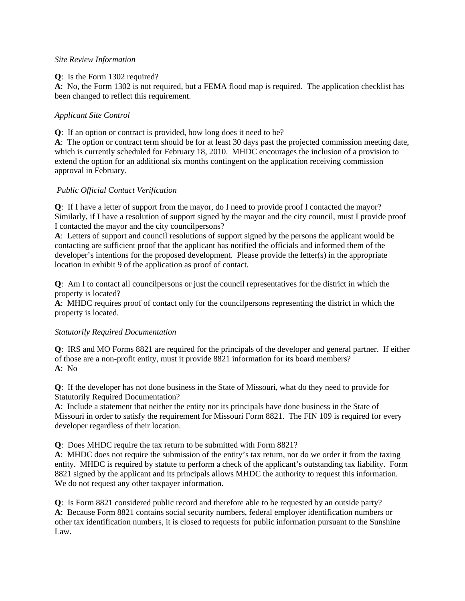## *Site Review Information*

#### **Q**: Is the Form 1302 required?

**A**: No, the Form 1302 is not required, but a FEMA flood map is required. The application checklist has been changed to reflect this requirement.

## *Applicant Site Control*

**Q**: If an option or contract is provided, how long does it need to be?

**A**: The option or contract term should be for at least 30 days past the projected commission meeting date, which is currently scheduled for February 18, 2010. MHDC encourages the inclusion of a provision to extend the option for an additional six months contingent on the application receiving commission approval in February.

## *Public Official Contact Verification*

**Q**: If I have a letter of support from the mayor, do I need to provide proof I contacted the mayor? Similarly, if I have a resolution of support signed by the mayor and the city council, must I provide proof I contacted the mayor and the city councilpersons?

**A**: Letters of support and council resolutions of support signed by the persons the applicant would be contacting are sufficient proof that the applicant has notified the officials and informed them of the developer's intentions for the proposed development. Please provide the letter(s) in the appropriate location in exhibit 9 of the application as proof of contact.

**Q**: Am I to contact all councilpersons or just the council representatives for the district in which the property is located?

**A**: MHDC requires proof of contact only for the councilpersons representing the district in which the property is located.

## *Statutorily Required Documentation*

**Q**: IRS and MO Forms 8821 are required for the principals of the developer and general partner. If either of those are a non-profit entity, must it provide 8821 information for its board members? **A**: No

**Q**: If the developer has not done business in the State of Missouri, what do they need to provide for Statutorily Required Documentation?

**A**: Include a statement that neither the entity nor its principals have done business in the State of Missouri in order to satisfy the requirement for Missouri Form 8821. The FIN 109 is required for every developer regardless of their location.

**Q**: Does MHDC require the tax return to be submitted with Form 8821?

**A**: MHDC does not require the submission of the entity's tax return, nor do we order it from the taxing entity. MHDC is required by statute to perform a check of the applicant's outstanding tax liability. Form 8821 signed by the applicant and its principals allows MHDC the authority to request this information. We do not request any other taxpayer information.

**Q**: Is Form 8821 considered public record and therefore able to be requested by an outside party? **A**: Because Form 8821 contains social security numbers, federal employer identification numbers or other tax identification numbers, it is closed to requests for public information pursuant to the Sunshine Law.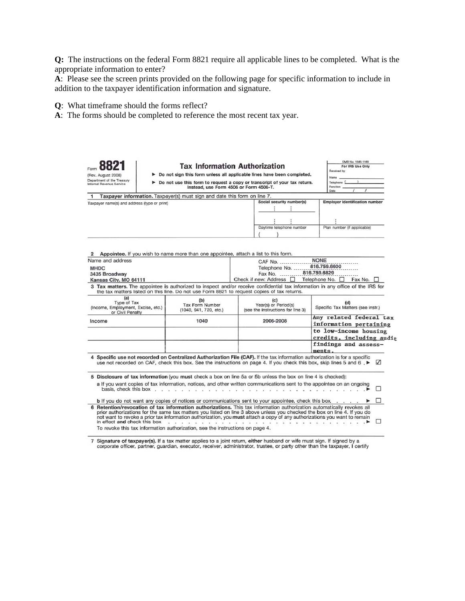**Q:** The instructions on the federal Form 8821 require all applicable lines to be completed. What is the appropriate information to enter?

**A**: Please see the screen prints provided on the following page for specific information to include in addition to the taxpayer identification information and signature.

**Q**: What timeframe should the forms reflect?

**A**: The forms should be completed to reference the most recent tax year.

| (Rev. August 2008)<br>Department of the Treasury<br>Internal Revenue Service |                                                                                             | <b>Tax Information Authorization</b>             | Do not sign this form unless all applicable lines have been completed.<br>Do not use this form to request a copy or transcript of your tax return.                                                                                                  | OMB No. 1545-1165<br>For IRS Use Only<br>Received by:<br>Name<br>Telephone<br>Eugetion                                           |  |
|------------------------------------------------------------------------------|---------------------------------------------------------------------------------------------|--------------------------------------------------|-----------------------------------------------------------------------------------------------------------------------------------------------------------------------------------------------------------------------------------------------------|----------------------------------------------------------------------------------------------------------------------------------|--|
|                                                                              |                                                                                             | Instead, use Form 4506 or Form 4506-T.           |                                                                                                                                                                                                                                                     | Date                                                                                                                             |  |
| 1                                                                            | Taxpayer information. Taxpayer(s) must sign and date this form on line 7.                   |                                                  |                                                                                                                                                                                                                                                     |                                                                                                                                  |  |
| Taxpayer name(s) and address (type or print)                                 |                                                                                             |                                                  | Social security number(s)                                                                                                                                                                                                                           | Employer identification number                                                                                                   |  |
|                                                                              |                                                                                             |                                                  | Daytime telephone number                                                                                                                                                                                                                            | Plan number (if applicable)                                                                                                      |  |
| Name and address                                                             | Appointee. If you wish to name more than one appointee, attach a list to this form.         |                                                  | CAF No.                                                                                                                                                                                                                                             | <b>NONE</b>                                                                                                                      |  |
| <b>MHDC</b><br>3435 Broadway<br>Kansas City, MO 64111                        |                                                                                             |                                                  | 816,759,6600<br>Telephone No.<br>816.759.6829<br>Fax No.<br>Check if new: Address  <br>Telephone No.<br>Fax No.                                                                                                                                     |                                                                                                                                  |  |
|                                                                              | the tax matters listed on this line. Do not use Form 8821 to request copies of tax returns. |                                                  |                                                                                                                                                                                                                                                     | 3 Tax matters. The appointee is authorized to inspect and/or receive confidential tax information in any office of the IRS for   |  |
| (a)<br>Type of Tax<br>(Income, Employment, Excise, etc.)<br>or Civil Penalty |                                                                                             | (b)<br>Tax Form Number<br>(1040, 941, 720, etc.) | (c)<br>Year(s) or Period(s)<br>(see the instructions for line 3)                                                                                                                                                                                    | (d)<br>Specific Tax Matters (see instr.)                                                                                         |  |
| Income                                                                       |                                                                                             | 1040                                             | 2006-2008                                                                                                                                                                                                                                           | Any related federal tax<br>information pertaining                                                                                |  |
|                                                                              |                                                                                             |                                                  |                                                                                                                                                                                                                                                     | to low-income housing<br>credits, including audit<br>findings and assess-                                                        |  |
|                                                                              |                                                                                             |                                                  |                                                                                                                                                                                                                                                     | ments.                                                                                                                           |  |
|                                                                              |                                                                                             |                                                  | 4 Specific use not recorded on Centralized Authorization File (CAF). If the tax information authorization is for a specific                                                                                                                         | use not recorded on CAF, check this box. See the instructions on page 4. If you check this box, skip lines 5 and 6<br>$\sqrt{ }$ |  |
|                                                                              |                                                                                             |                                                  | 5 Disclosure of tax information (you must check a box on line 5a or 5b unless the box on line 4 is checked):<br>a If you want copies of tax information, notices, and other written communications sent to the appointee on an ongoing              |                                                                                                                                  |  |
|                                                                              | basis, check this box,                                                                      | 39. Tal                                          |                                                                                                                                                                                                                                                     | п                                                                                                                                |  |
|                                                                              |                                                                                             |                                                  | b If you do not want any copies of notices or communications sent to your appointee, check this box                                                                                                                                                 |                                                                                                                                  |  |
| in effect and check this box                                                 |                                                                                             |                                                  | 6 Retention/revocation of tax information authorizations. This tax information authorization automatically revokes all<br>not want to revoke a prior tax information authorization, you must attach a copy of any authorizations you want to remain | prior authorizations for the same tax matters you listed on line 3 above unless you checked the box on line 4. If you do         |  |

7 Signature of taxpayer(s). If a tax matter applies to a joint return, either husband or wife must sign. If signed by a corporate officer, partner, guardian, executor, receiver, administrator, trustee, or party other than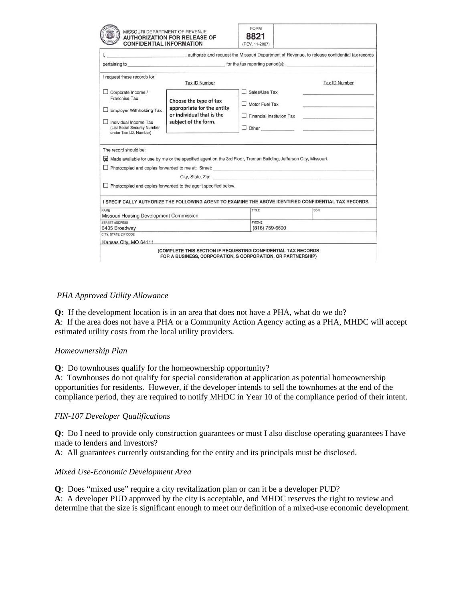|                                                                                                                                      | <b>CONFIDENTIAL INFORMATION</b>                                                                                     | (REV. 11-2007)            |                                                 |
|--------------------------------------------------------------------------------------------------------------------------------------|---------------------------------------------------------------------------------------------------------------------|---------------------------|-------------------------------------------------|
|                                                                                                                                      | , authorize and request the Missouri Department of Revenue, to release confidential tax records                     |                           |                                                 |
|                                                                                                                                      | pertaining to pertaining to perform the tax reporting period(s):                                                    |                           |                                                 |
| I request these records for:                                                                                                         | Tax ID Number                                                                                                       |                           | <b>Tax ID Number</b>                            |
| Corporate Income /                                                                                                                   |                                                                                                                     | Sales/Use Tax             |                                                 |
| Franchise Tax                                                                                                                        | Choose the type of tax<br>appropriate for the entity                                                                | Motor Fuel Tax            |                                                 |
| <b>Employer Withholding Tax</b>                                                                                                      | or individual that is the                                                                                           | Financial Institution Tax | the contract of the contract of the contract of |
| Individual Income Tax<br>(List Social Security Number<br>under Tax I.D. Number)                                                      | subject of the form.                                                                                                |                           |                                                 |
|                                                                                                                                      |                                                                                                                     |                           |                                                 |
|                                                                                                                                      | of Made available for use by me or the specified agent on the 3rd Floor, Truman Building, Jefferson City, Missouri. |                           |                                                 |
|                                                                                                                                      |                                                                                                                     |                           |                                                 |
|                                                                                                                                      | $\Box$ Photocopied and copies forwarded to the agent specified below.                                               |                           |                                                 |
|                                                                                                                                      | I SPECIFICALLY AUTHORIZE THE FOLLOWING AGENT TO EXAMINE THE ABOVE IDENTIFIED CONFIDENTIAL TAX RECORDS.              |                           |                                                 |
|                                                                                                                                      |                                                                                                                     | TITLE                     | SSN                                             |
|                                                                                                                                      |                                                                                                                     | PHONE                     |                                                 |
| The record should be:<br>NAME<br>Missouri Housing Development Commission<br>STREET ADDRESS<br>3435 Broadway<br>CITY, STATE, ZIP CODE |                                                                                                                     | (816) 759-6600            |                                                 |

## *PHA Approved Utility Allowance*

**Q:** If the development location is in an area that does not have a PHA, what do we do? **A**: If the area does not have a PHA or a Community Action Agency acting as a PHA, MHDC will accept estimated utility costs from the local utility providers.

## *Homeownership Plan*

**Q**: Do townhouses qualify for the homeownership opportunity?

**A**: Townhouses do not qualify for special consideration at application as potential homeownership opportunities for residents. However, if the developer intends to sell the townhomes at the end of the compliance period, they are required to notify MHDC in Year 10 of the compliance period of their intent.

## *FIN-107 Developer Qualifications*

**Q**: Do I need to provide only construction guarantees or must I also disclose operating guarantees I have made to lenders and investors?

**A**: All guarantees currently outstanding for the entity and its principals must be disclosed.

## *Mixed Use-Economic Development Area*

**Q**: Does "mixed use" require a city revitalization plan or can it be a developer PUD? **A**: A developer PUD approved by the city is acceptable, and MHDC reserves the right to review and determine that the size is significant enough to meet our definition of a mixed-use economic development.